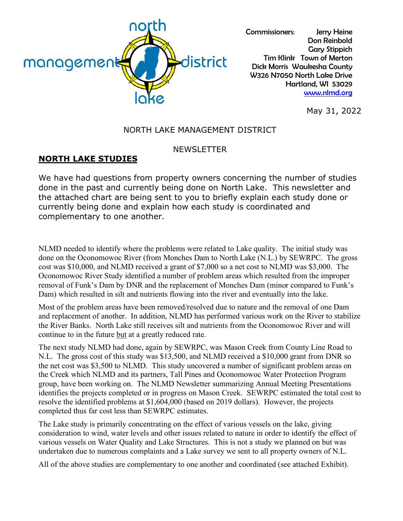

Commissioners: Jerry Heine Don Reinbold Gary Stippich Tim Klink Town of Merton Dick Morris Waukesha County W326 N7050 North Lake Drive Hartland, WI 53029 [www.nlmd.org](http://www.nlmd.org/)

May 31, 2022

#### NORTH LAKE MANAGEMENT DISTRICT

#### **NEWSLETTER**

#### **NORTH LAKE STUDIES**

We have had questions from property owners concerning the number of studies done in the past and currently being done on North Lake. This newsletter and the attached chart are being sent to you to briefly explain each study done or currently being done and explain how each study is coordinated and complementary to one another.

NLMD needed to identify where the problems were related to Lake quality. The initial study was done on the Oconomowoc River (from Monches Dam to North Lake (N.L.) by SEWRPC. The gross cost was \$10,000, and NLMD received a grant of \$7,000 so a net cost to NLMD was \$3,000. The Oconomowoc River Study identified a number of problem areas which resulted from the improper removal of Funk's Dam by DNR and the replacement of Monches Dam (minor compared to Funk's Dam) which resulted in silt and nutrients flowing into the river and eventually into the lake.

Most of the problem areas have been removed/resolved due to nature and the removal of one Dam and replacement of another. In addition, NLMD has performed various work on the River to stabilize the River Banks. North Lake still receives silt and nutrients from the Oconomowoc River and will continue to in the future but at a greatly reduced rate.

The next study NLMD had done, again by SEWRPC, was Mason Creek from County Line Road to N.L. The gross cost of this study was \$13,500, and NLMD received a \$10,000 grant from DNR so the net cost was \$3,500 to NLMD. This study uncovered a number of significant problem areas on the Creek which NLMD and its partners, Tall Pines and Oconomowoc Water Protection Program group, have been working on. The NLMD Newsletter summarizing Annual Meeting Presentations identifies the projects completed or in progress on Mason Creek. SEWRPC estimated the total cost to resolve the identified problems at \$1,604,000 (based on 2019 dollars). However, the projects completed thus far cost less than SEWRPC estimates.

The Lake study is primarily concentrating on the effect of various vessels on the lake, giving consideration to wind, water levels and other issues related to nature in order to identify the effect of various vessels on Water Quality and Lake Structures. This is not a study we planned on but was undertaken due to numerous complaints and a Lake survey we sent to all property owners of N.L.

All of the above studies are complementary to one another and coordinated (see attached Exhibit).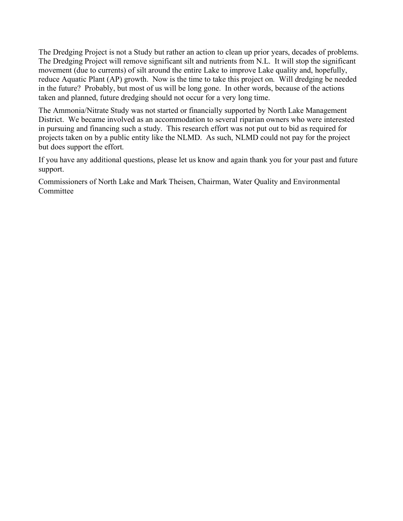The Dredging Project is not a Study but rather an action to clean up prior years, decades of problems. The Dredging Project will remove significant silt and nutrients from N.L. It will stop the significant movement (due to currents) of silt around the entire Lake to improve Lake quality and, hopefully, reduce Aquatic Plant (AP) growth. Now is the time to take this project on. Will dredging be needed in the future? Probably, but most of us will be long gone. In other words, because of the actions taken and planned, future dredging should not occur for a very long time.

The Ammonia/Nitrate Study was not started or financially supported by North Lake Management District. We became involved as an accommodation to several riparian owners who were interested in pursuing and financing such a study. This research effort was not put out to bid as required for projects taken on by a public entity like the NLMD. As such, NLMD could not pay for the project but does support the effort.

If you have any additional questions, please let us know and again thank you for your past and future support.

Commissioners of North Lake and Mark Theisen, Chairman, Water Quality and Environmental Committee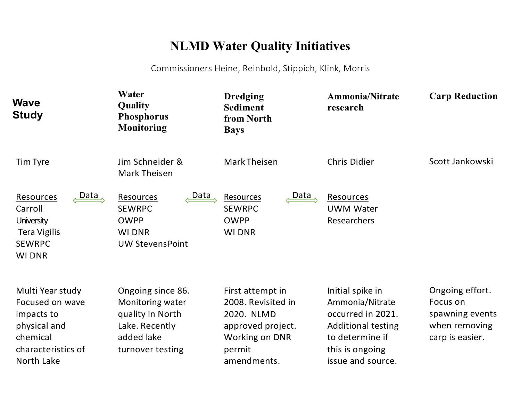# **NLMD Water Quality Initiatives**

Commissioners Heine, Reinbold, Stippich, Klink, Morris

| <b>Wave</b><br><b>Study</b>                                                                                       | Water<br>Quality<br><b>Phosphorus</b><br><b>Monitoring</b>                                                    | <b>Dredging</b><br><b>Sediment</b><br>from North<br><b>Bays</b>                                                             | <b>Ammonia/Nitrate</b><br>research                                                                                                               | <b>Carp Reduction</b>                                                              |
|-------------------------------------------------------------------------------------------------------------------|---------------------------------------------------------------------------------------------------------------|-----------------------------------------------------------------------------------------------------------------------------|--------------------------------------------------------------------------------------------------------------------------------------------------|------------------------------------------------------------------------------------|
| <b>Tim Tyre</b>                                                                                                   | Jim Schneider &<br><b>Mark Theisen</b>                                                                        | Mark Theisen                                                                                                                | <b>Chris Didier</b>                                                                                                                              | Scott Jankowski                                                                    |
| Data<br>Resources<br>Carroll<br><b>University</b><br><b>Tera Vigilis</b><br><b>SEWRPC</b><br><b>WI DNR</b>        | Data<br>Resources<br><b>SEWRPC</b><br><b>OWPP</b><br><b>WI DNR</b><br><b>UW Stevens Point</b>                 | Data<br>Resources<br><b>SEWRPC</b><br><b>OWPP</b><br><b>WI DNR</b>                                                          | <b>Resources</b><br><b>UWM Water</b><br>Researchers                                                                                              |                                                                                    |
| Multi Year study<br>Focused on wave<br>impacts to<br>physical and<br>chemical<br>characteristics of<br>North Lake | Ongoing since 86.<br>Monitoring water<br>quality in North<br>Lake. Recently<br>added lake<br>turnover testing | First attempt in<br>2008. Revisited in<br>2020. NLMD<br>approved project.<br><b>Working on DNR</b><br>permit<br>amendments. | Initial spike in<br>Ammonia/Nitrate<br>occurred in 2021.<br><b>Additional testing</b><br>to determine if<br>this is ongoing<br>issue and source. | Ongoing effort.<br>Focus on<br>spawning events<br>when removing<br>carp is easier. |